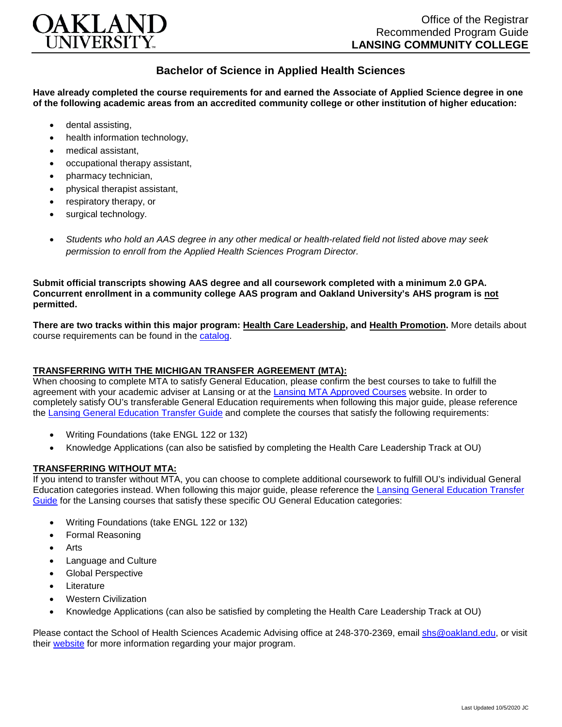

## **Bachelor of Science in Applied Health Sciences**

**Have already completed the course requirements for and earned the Associate of Applied Science degree in one of the following academic areas from an accredited community college or other institution of higher education:**

- dental assisting,
- health information technology.
- medical assistant,
- occupational therapy assistant,
- pharmacy technician,
- physical therapist assistant,
- respiratory therapy, or
- surgical technology.
- *Students who hold an AAS degree in any other medical or health-related field not listed above may seek permission to enroll from the Applied Health Sciences Program Director.*

**Submit official transcripts showing AAS degree and all coursework completed with a minimum 2.0 GPA. Concurrent enrollment in a community college AAS program and Oakland University's AHS program is not permitted.**

**There are two tracks within this major program: Health Care Leadership, and Health Promotion.** More details about course requirements can be found in the [catalog.](http://catalog.oakland.edu/preview_program.php?catoid=49&poid=8362)

## **TRANSFERRING WITH THE MICHIGAN TRANSFER AGREEMENT (MTA):**

When choosing to complete MTA to satisfy General Education, please confirm the best courses to take to fulfill the agreement with your academic adviser at Lansing or at the [Lansing MTA Approved Courses](https://www.lcc.edu/academics/transfer/mta.html) website. In order to completely satisfy OU's transferable General Education requirements when following this major guide, please reference the [Lansing General Education Transfer Guide](https://www.oakland.edu/Assets/Oakland/program-guides/lansing-community-college/university-general-education-requirements/Lansing%20Gen%20Ed.pdf) and complete the courses that satisfy the following requirements:

- Writing Foundations (take ENGL 122 or 132)
- Knowledge Applications (can also be satisfied by completing the Health Care Leadership Track at OU)

## **TRANSFERRING WITHOUT MTA:**

If you intend to transfer without MTA, you can choose to complete additional coursework to fulfill OU's individual General Education categories instead. When following this major guide, please reference the [Lansing General Education Transfer](https://www.oakland.edu/Assets/Oakland/program-guides/lansing-community-college/university-general-education-requirements/Lansing%20Gen%20Ed.pdf)  [Guide](https://www.oakland.edu/Assets/Oakland/program-guides/lansing-community-college/university-general-education-requirements/Lansing%20Gen%20Ed.pdf) for the Lansing courses that satisfy these specific OU General Education categories:

- Writing Foundations (take ENGL 122 or 132)
- Formal Reasoning
- Arts
- Language and Culture
- Global Perspective
- **Literature**
- Western Civilization
- Knowledge Applications (can also be satisfied by completing the Health Care Leadership Track at OU)

Please contact the School of Health Sciences Academic Advising office at 248-370-2369, email [shs@oakland.edu,](mailto:shs@oakland.edu) or visit their [website](http://www.oakland.edu/shs/advising) for more information regarding your major program.